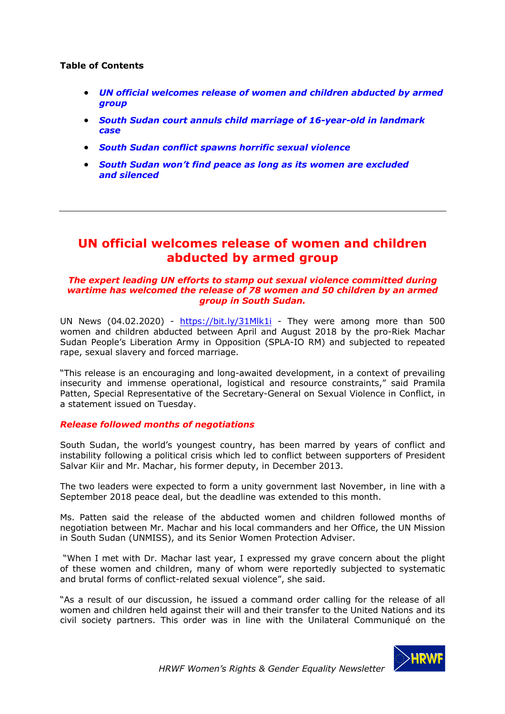### **Table of Contents**

- *UN official welcomes release of women and children abducted by armed group*
- *South Sudan court annuls child marriage of 16-year-old in landmark case*
- *South Sudan conflict spawns horrific sexual violence*
- *South Sudan won't find peace as long as its women are excluded and silenced*

# **UN official welcomes release of women and children abducted by armed group**

#### *The expert leading UN efforts to stamp out sexual violence committed during wartime has welcomed the release of 78 women and 50 children by an armed group in South Sudan.*

UN News (04.02.2020) - https://bit.ly/31Mlk1i - They were among more than 500 women and children abducted between April and August 2018 by the pro-Riek Machar Sudan People's Liberation Army in Opposition (SPLA-IO RM) and subjected to repeated rape, sexual slavery and forced marriage.

"This release is an encouraging and long-awaited development, in a context of prevailing insecurity and immense operational, logistical and resource constraints," said Pramila Patten, Special Representative of the Secretary-General on Sexual Violence in Conflict, in a statement issued on Tuesday.

### *Release followed months of negotiations*

South Sudan, the world's youngest country, has been marred by years of conflict and instability following a political crisis which led to conflict between supporters of President Salvar Kiir and Mr. Machar, his former deputy, in December 2013.

The two leaders were expected to form a unity government last November, in line with a September 2018 peace deal, but the deadline was extended to this month.

Ms. Patten said the release of the abducted women and children followed months of negotiation between Mr. Machar and his local commanders and her Office, the UN Mission in South Sudan (UNMISS), and its Senior Women Protection Adviser.

"When I met with Dr. Machar last year, I expressed my grave concern about the plight of these women and children, many of whom were reportedly subjected to systematic and brutal forms of conflict-related sexual violence", she said.

"As a result of our discussion, he issued a command order calling for the release of all women and children held against their will and their transfer to the United Nations and its civil society partners. This order was in line with the Unilateral Communiqué on the

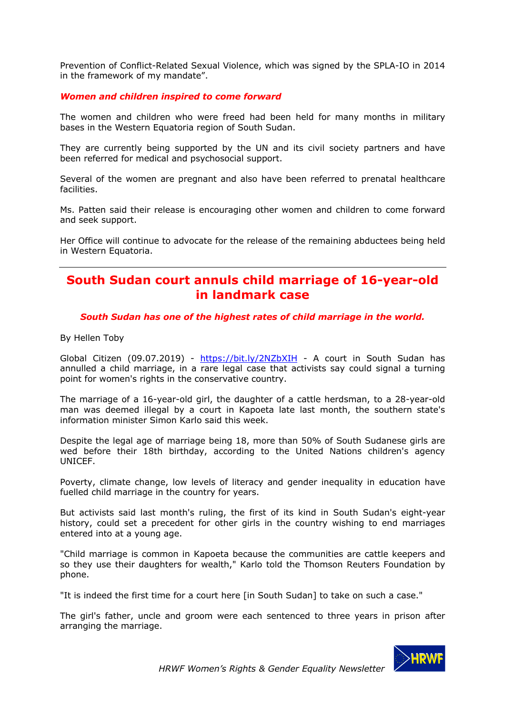Prevention of Conflict-Related Sexual Violence, which was signed by the SPLA-IO in 2014 in the framework of my mandate".

### *Women and children inspired to come forward*

The women and children who were freed had been held for many months in military bases in the Western Equatoria region of South Sudan.

They are currently being supported by the UN and its civil society partners and have been referred for medical and psychosocial support.

Several of the women are pregnant and also have been referred to prenatal healthcare facilities.

Ms. Patten said their release is encouraging other women and children to come forward and seek support.

Her Office will continue to advocate for the release of the remaining abductees being held in Western Equatoria.

# **South Sudan court annuls child marriage of 16-year-old in landmark case**

### *South Sudan has one of the highest rates of child marriage in the world.*

By Hellen Toby

Global Citizen (09.07.2019) - https://bit.ly/2NZbXIH - A court in South Sudan has annulled a child marriage, in a rare legal case that activists say could signal a turning point for women's rights in the conservative country.

The marriage of a 16-year-old girl, the daughter of a cattle herdsman, to a 28-year-old man was deemed illegal by a court in Kapoeta late last month, the southern state's information minister Simon Karlo said this week.

Despite the legal age of marriage being 18, more than 50% of South Sudanese girls are wed before their 18th birthday, according to the United Nations children's agency UNICEF.

Poverty, climate change, low levels of literacy and gender inequality in education have fuelled child marriage in the country for years.

But activists said last month's ruling, the first of its kind in South Sudan's eight-year history, could set a precedent for other girls in the country wishing to end marriages entered into at a young age.

"Child marriage is common in Kapoeta because the communities are cattle keepers and so they use their daughters for wealth," Karlo told the Thomson Reuters Foundation by phone.

"It is indeed the first time for a court here [in South Sudan] to take on such a case."

The girl's father, uncle and groom were each sentenced to three years in prison after arranging the marriage.

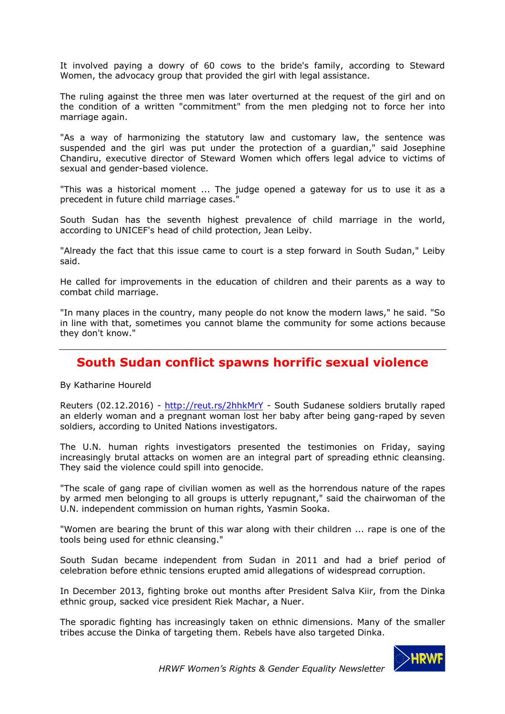It involved paying a dowry of 60 cows to the bride's family, according to Steward Women, the advocacy group that provided the girl with legal assistance.

The ruling against the three men was later overturned at the request of the girl and on the condition of a written "commitment" from the men pledging not to force her into marriage again.

"As a way of harmonizing the statutory law and customary law, the sentence was suspended and the girl was put under the protection of a guardian," said Josephine Chandiru, executive director of Steward Women which offers legal advice to victims of sexual and gender-based violence.

"This was a historical moment ... The judge opened a gateway for us to use it as a precedent in future child marriage cases."

South Sudan has the seventh highest prevalence of child marriage in the world, according to UNICEF's head of child protection, Jean Leiby.

"Already the fact that this issue came to court is a step forward in South Sudan," Leiby said.

He called for improvements in the education of children and their parents as a way to combat child marriage.

"In many places in the country, many people do not know the modern laws," he said. "So in line with that, sometimes you cannot blame the community for some actions because they don't know."

# **South Sudan conflict spawns horrific sexual violence**

By Katharine Houreld

Reuters (02.12.2016) - http://reut.rs/2hhkMrY - South Sudanese soldiers brutally raped an elderly woman and a pregnant woman lost her baby after being gang-raped by seven soldiers, according to United Nations investigators.

The U.N. human rights investigators presented the testimonies on Friday, saying increasingly brutal attacks on women are an integral part of spreading ethnic cleansing. They said the violence could spill into genocide.

"The scale of gang rape of civilian women as well as the horrendous nature of the rapes by armed men belonging to all groups is utterly repugnant," said the chairwoman of the U.N. independent commission on human rights, Yasmin Sooka.

"Women are bearing the brunt of this war along with their children ... rape is one of the tools being used for ethnic cleansing."

South Sudan became independent from Sudan in 2011 and had a brief period of celebration before ethnic tensions erupted amid allegations of widespread corruption.

In December 2013, fighting broke out months after President Salva Kiir, from the Dinka ethnic group, sacked vice president Riek Machar, a Nuer.

The sporadic fighting has increasingly taken on ethnic dimensions. Many of the smaller tribes accuse the Dinka of targeting them. Rebels have also targeted Dinka.

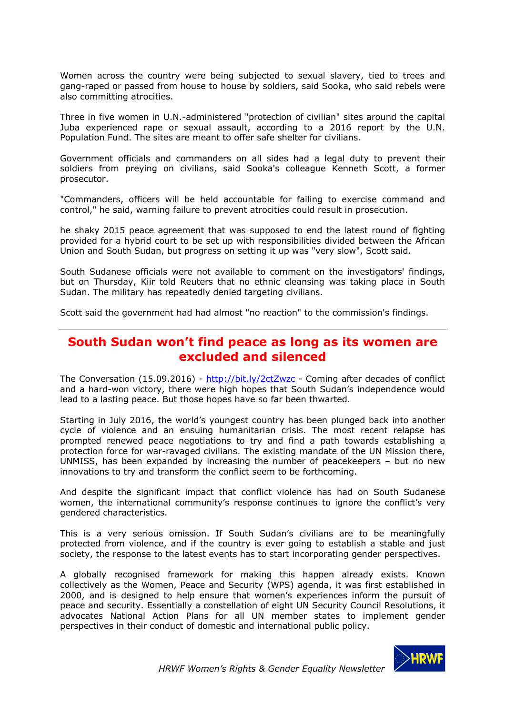Women across the country were being subjected to sexual slavery, tied to trees and gang-raped or passed from house to house by soldiers, said Sooka, who said rebels were also committing atrocities.

Three in five women in U.N.-administered "protection of civilian" sites around the capital Juba experienced rape or sexual assault, according to a 2016 report by the U.N. Population Fund. The sites are meant to offer safe shelter for civilians.

Government officials and commanders on all sides had a legal duty to prevent their soldiers from preying on civilians, said Sooka's colleague Kenneth Scott, a former prosecutor.

"Commanders, officers will be held accountable for failing to exercise command and control," he said, warning failure to prevent atrocities could result in prosecution.

he shaky 2015 peace agreement that was supposed to end the latest round of fighting provided for a hybrid court to be set up with responsibilities divided between the African Union and South Sudan, but progress on setting it up was "very slow", Scott said.

South Sudanese officials were not available to comment on the investigators' findings, but on Thursday, Kiir told Reuters that no ethnic cleansing was taking place in South Sudan. The military has repeatedly denied targeting civilians.

Scott said the government had had almost "no reaction" to the commission's findings.

# **South Sudan won't find peace as long as its women are excluded and silenced**

The Conversation (15.09.2016) - http://bit.ly/2ctZwzc - Coming after decades of conflict and a hard-won victory, there were high hopes that South Sudan's independence would lead to a lasting peace. But those hopes have so far been thwarted.

Starting in July 2016, the world's youngest country has been plunged back into another cycle of violence and an ensuing humanitarian crisis. The most recent relapse has prompted renewed peace negotiations to try and find a path towards establishing a protection force for war-ravaged civilians. The existing mandate of the UN Mission there, UNMISS, has been expanded by increasing the number of peacekeepers – but no new innovations to try and transform the conflict seem to be forthcoming.

And despite the significant impact that conflict violence has had on South Sudanese women, the international community's response continues to ignore the conflict's very gendered characteristics.

This is a very serious omission. If South Sudan's civilians are to be meaningfully protected from violence, and if the country is ever going to establish a stable and just society, the response to the latest events has to start incorporating gender perspectives.

A globally recognised framework for making this happen already exists. Known collectively as the Women, Peace and Security (WPS) agenda, it was first established in 2000, and is designed to help ensure that women's experiences inform the pursuit of peace and security. Essentially a constellation of eight UN Security Council Resolutions, it advocates National Action Plans for all UN member states to implement gender perspectives in their conduct of domestic and international public policy.

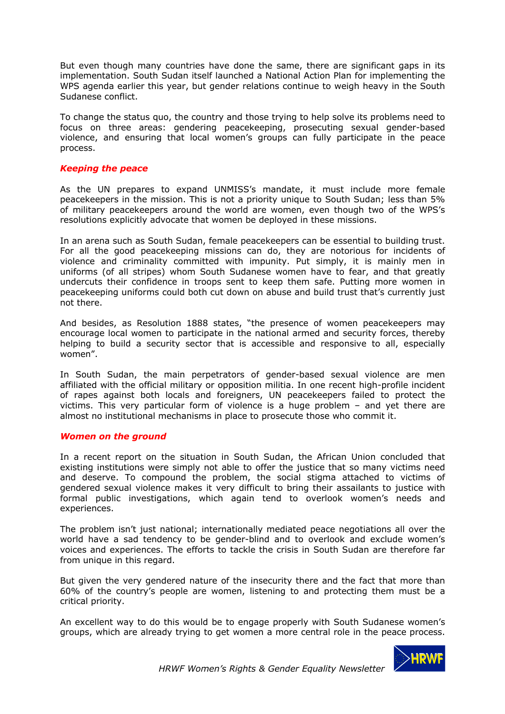But even though many countries have done the same, there are significant gaps in its implementation. South Sudan itself launched a National Action Plan for implementing the WPS agenda earlier this year, but gender relations continue to weigh heavy in the South Sudanese conflict.

To change the status quo, the country and those trying to help solve its problems need to focus on three areas: gendering peacekeeping, prosecuting sexual gender-based violence, and ensuring that local women's groups can fully participate in the peace process.

### *Keeping the peace*

As the UN prepares to expand UNMISS's mandate, it must include more female peacekeepers in the mission. This is not a priority unique to South Sudan; less than 5% of military peacekeepers around the world are women, even though two of the WPS's resolutions explicitly advocate that women be deployed in these missions.

In an arena such as South Sudan, female peacekeepers can be essential to building trust. For all the good peacekeeping missions can do, they are notorious for incidents of violence and criminality committed with impunity. Put simply, it is mainly men in uniforms (of all stripes) whom South Sudanese women have to fear, and that greatly undercuts their confidence in troops sent to keep them safe. Putting more women in peacekeeping uniforms could both cut down on abuse and build trust that's currently just not there.

And besides, as Resolution 1888 states, "the presence of women peacekeepers may encourage local women to participate in the national armed and security forces, thereby helping to build a security sector that is accessible and responsive to all, especially women".

In South Sudan, the main perpetrators of gender-based sexual violence are men affiliated with the official military or opposition militia. In one recent high-profile incident of rapes against both locals and foreigners, UN peacekeepers failed to protect the victims. This very particular form of violence is a huge problem – and yet there are almost no institutional mechanisms in place to prosecute those who commit it.

#### *Women on the ground*

In a recent report on the situation in South Sudan, the African Union concluded that existing institutions were simply not able to offer the justice that so many victims need and deserve. To compound the problem, the social stigma attached to victims of gendered sexual violence makes it very difficult to bring their assailants to justice with formal public investigations, which again tend to overlook women's needs and experiences.

The problem isn't just national; internationally mediated peace negotiations all over the world have a sad tendency to be gender-blind and to overlook and exclude women's voices and experiences. The efforts to tackle the crisis in South Sudan are therefore far from unique in this regard.

But given the very gendered nature of the insecurity there and the fact that more than 60% of the country's people are women, listening to and protecting them must be a critical priority.

An excellent way to do this would be to engage properly with South Sudanese women's groups, which are already trying to get women a more central role in the peace process.